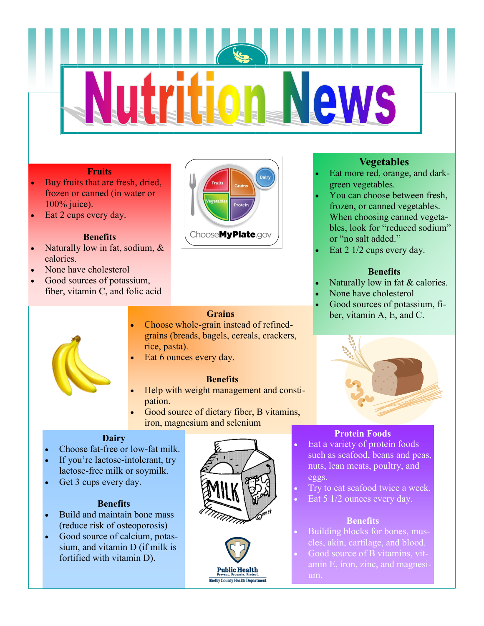# **AWS**

#### **Fruits**

- Buy fruits that are fresh, dried, frozen or canned (in water or 100% juice).
- Eat 2 cups every day.

#### **Benefits**

- Naturally low in fat, sodium, & calories.
- None have cholesterol
- Good sources of potassium, fiber, vitamin C, and folic acid



ChooseMyPlate.gov

#### **Grains**

- Choose whole-grain instead of refinedgrains (breads, bagels, cereals, crackers, rice, pasta).
- Eat 6 ounces every day.

#### **Benefits**

- Help with weight management and constipation.
- Good source of dietary fiber, B vitamins, iron, magnesium and selenium

#### **Dairy**

- Choose fat-free or low-fat milk.
- If you're lactose-intolerant, try lactose-free milk or soymilk.
- Get 3 cups every day.

#### **Benefits**

- Build and maintain bone mass (reduce risk of osteoporosis)
- Good source of calcium, potassium, and vitamin D (if milk is fortified with vitamin D).





#### **Vegetables**

- Eat more red, orange, and darkgreen vegetables.
- You can choose between fresh, frozen, or canned vegetables. When choosing canned vegetables, look for "reduced sodium" or "no salt added."
- Eat 2 1/2 cups every day.

#### **Benefits**

- Naturally low in fat & calories.
- None have cholesterol
- Good sources of potassium, fiber, vitamin A, E, and C.



#### **Protein Foods**

- Eat a variety of protein foods such as seafood, beans and peas, nuts, lean meats, poultry, and eggs.
- Try to eat seafood twice a week.
- Eat 5 1/2 ounces every day.

#### **Benefits**

- Building blocks for bones, muscles, akin, cartilage, and blood.
- Good source of B vitamins, vitamin E, iron, zinc, and magnesi-